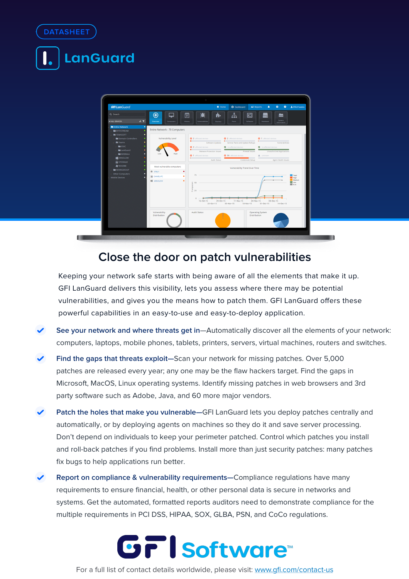



# **Close the door on patch vulnerabilities**

Keeping your network safe starts with being aware of all the elements that make it up. GFI LanGuard delivers this visibility, lets you assess where there may be potential vulnerabilities, and gives you the means how to patch them. GFI LanGuard offers these powerful capabilities in an easy-to-use and easy-to-deploy application.

- **See your network and where threats get in**—Automatically discover all the elements of your network: computers, laptops, mobile phones, tablets, printers, servers, virtual machines, routers and switches.
- **Find the gaps that threats exploit—**Scan your network for missing patches. Over 5,000 patches are released every year; any one may be the flaw hackers target. Find the gaps in Microsoft, MacOS, Linux operating systems. Identify missing patches in web browsers and 3rd party software such as Adobe, Java, and 60 more major vendors.
- **Patch the holes that make you vulnerable—**GFI LanGuard lets you deploy patches centrally and automatically, or by deploying agents on machines so they do it and save server processing. Don't depend on individuals to keep your perimeter patched. Control which patches you install and roll-back patches if you find problems. Install more than just security patches: many patches fix bugs to help applications run better.
- **Report on compliance & vulnerability requirements—**Compliance regulations have many requirements to ensure financial, health, or other personal data is secure in networks and systems. Get the automated, formatted reports auditors need to demonstrate compliance for the multiple requirements in PCI DSS, HIPAA, SOX, GLBA, PSN, and CoCo regulations.



For a full list of contact details worldwide, please visit: www.gfi.com/contact-us